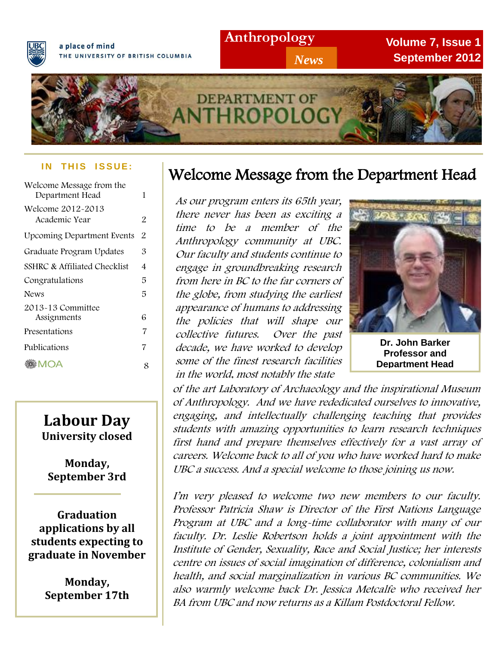

a place of mind THE UNIVERSITY OF BRITISH COLUMBIA **Anthropology**

*News*

**Volume 7, Issue 1 September 2012**



#### **IN THIS ISSUE:**

| Welcome Message from the<br>Department Head | 1 |
|---------------------------------------------|---|
| Welcome 2012-2013<br>Academic Year          | 2 |
| <b>Upcoming Department Events</b>           | 2 |
| Graduate Program Updates                    | 3 |
| SSHRC & Affiliated Checklist                | 4 |
| Congratulations                             | 5 |
| <b>News</b>                                 | 5 |
| 2013-13 Committee<br>Assignments            | 6 |
| Presentations                               | 7 |
| Publications                                | 7 |
| ©M⊗<br>※MOA                                 | 8 |

## **Labour Day University closed**

**Monday, September 3rd**

**Graduation applications by all students expecting to graduate in November**

> **Monday, September 17th**

# Welcome Message from the Department Head

As our program enters its 65th year, there never has been as exciting a time to be a member of the Anthropology community at UBC. Our faculty and students continue to engage in groundbreaking research from here in BC to the far corners of the globe, from studying the earliest appearance of humans to addressing the policies that will shape our collective futures. Over the past decade, we have worked to develop some of the finest research facilities in the world, most notably the state



**Dr. John Barker Professor and Department Head**

 of Anthropology. And we have rededicated ourselves to innovative, engaging, and intellectually challenging teaching that provides stuaents with amazing opportunities to learn research techniques<br>first hand and prepare themselves effectively for a vast array of careers. Welcome back to all of you who have worked hard to make UBC a success. And a special welcome to those joining us now. of the art Laboratory of Archaeology and the inspirational Museum students with amazing opportunities to learn research techniques

 Program at UBC and a long-time collaborator with many of our faculty. Dr. Leslie Robertson holds a joint appointment with the Institute of Gender, Sexuality, Race and Social Justice; her interests I'm very pleased to welcome two new members to our faculty. Professor Patricia Shaw is Director of the First Nations Language centre on issues of social imagination of difference, colonialism and health, and social marginalization in various BC communities. We also warmly welcome back Dr. Jessica Metcalfe who received her BA from UBC and now returns as a Killam Postdoctoral Fellow.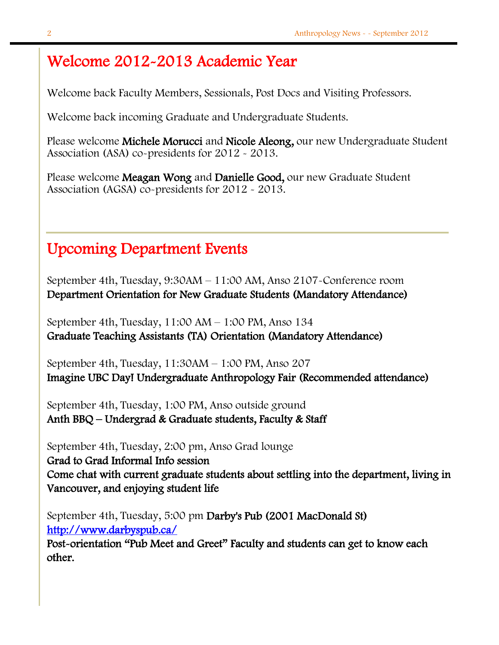## Welcome 2012-2013 Academic Year

Welcome back Faculty Members, Sessionals, Post Docs and Visiting Professors.

Welcome back incoming Graduate and Undergraduate Students.

Please welcome Michele Morucci and Nicole Aleong, our new Undergraduate Student Association (ASA) co-presidents for 2012 - 2013.

Please welcome Meagan Wong and Danielle Good, our new Graduate Student Association (AGSA) co-presidents for 2012 - 2013.

# Upcoming Department Events

September 4th, Tuesday, 9:30AM – 11:00 AM, Anso 2107-Conference room Department Orientation for New Graduate Students (Mandatory Attendance)

September 4th, Tuesday, 11:00 AM – 1:00 PM, Anso 134 Graduate Teaching Assistants (TA) Orientation (Mandatory Attendance)

September 4th, Tuesday, 11:30AM – 1:00 PM, Anso 207 Imagine UBC Day! Undergraduate Anthropology Fair (Recommended attendance)

September 4th, Tuesday, 1:00 PM, Anso outside ground Anth BBQ – Undergrad & Graduate students, Faculty & Staff

September 4th, Tuesday, 2:00 pm, Anso Grad lounge

Grad to Grad Informal Info session

Come chat with current graduate students about settling into the department, living in Vancouver, and enjoying student life

September 4th, Tuesday, 5:00 pm Darby's Pub (2001 MacDonald St) <http://www.darbyspub.ca/>

Post-orientation "Pub Meet and Greet" Faculty and students can get to know each other.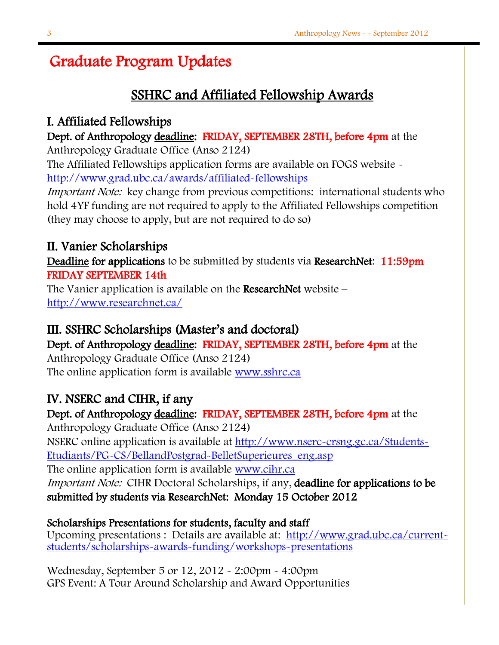# Graduate Program Updates

## SSHRC and Affiliated Fellowship Awards

### I. Affiliated Fellowships

### Dept. of Anthropology deadline: FRIDAY, SEPTEMBER 28TH, before 4pm at the

Anthropology Graduate Office (Anso 2124)

The Affiliated Fellowships application forms are available on FOGS website <http://www.grad.ubc.ca/awards/affiliated-fellowships>

Important Note: key change from previous competitions: international students who hold 4YF funding are not required to apply to the Affiliated Fellowships competition (they may choose to apply, but are not required to do so)

## II. Vanier Scholarships

Deadline for applications to be submitted by students via ResearchNet: 11:59pm FRIDAY SEPTEMBER 14th

The Vanier application is available on the ResearchNet website  $$ <http://www.researchnet.ca/>

### III. SSHRC Scholarships (Master's and doctoral)

Dept. of Anthropology deadline: FRIDAY, SEPTEMBER 28TH, before 4pm at the Anthropology Graduate Office (Anso 2124) The online application form is available [www.sshrc.ca](http://www.sshrc.ca/)

## IV. NSERC and CIHR, if any

Dept. of Anthropology deadline: FRIDAY, SEPTEMBER 28TH, before 4pm at the

Anthropology Graduate Office (Anso 2124) NSERC online application is available at [http://www.nserc-crsng.gc.ca/Students-](http://www.nserc-crsng.gc.ca/Students-Etudiants/PG-CS/BellandPostgrad-BelletSuperieures_eng.asp)[Etudiants/PG-CS/BellandPostgrad-BelletSuperieures\\_eng.asp](http://www.nserc-crsng.gc.ca/Students-Etudiants/PG-CS/BellandPostgrad-BelletSuperieures_eng.asp)

The online application form is available [www.cihr.ca](http://www.cihr.ca/) Important Note: CIHR Doctoral Scholarships, if any, deadline for applications to be submitted by students via ResearchNet: Monday 15 October 2012

# Scholarships Presentations for students, faculty and staff

Upcoming presentations : Details are available at: [http://www.grad.ubc.ca/current](http://www.grad.ubc.ca/current-students/scholarships-awards-funding/workshops-presentations)[students/scholarships-awards-funding/workshops-presentations](http://www.grad.ubc.ca/current-students/scholarships-awards-funding/workshops-presentations)

Wednesday, September 5 or 12, 2012 - 2:00pm - 4:00pm GPS Event: A Tour Around Scholarship and Award Opportunities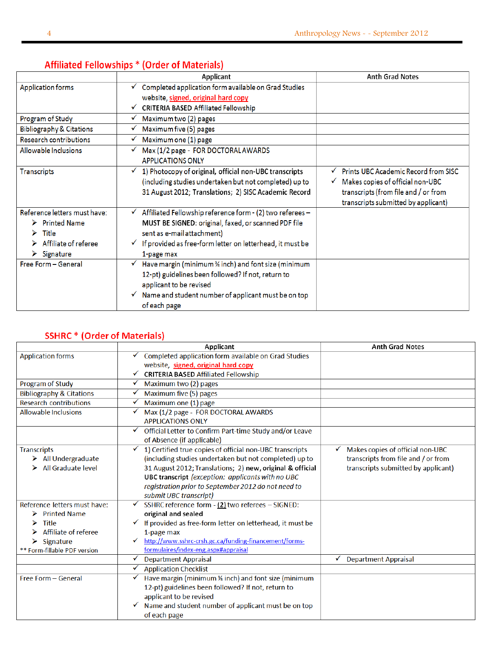|                                                                                                                                                    | Applicant                                                                                                                                                                                                                                            | <b>Anth Grad Notes</b>                                                                                                                                  |
|----------------------------------------------------------------------------------------------------------------------------------------------------|------------------------------------------------------------------------------------------------------------------------------------------------------------------------------------------------------------------------------------------------------|---------------------------------------------------------------------------------------------------------------------------------------------------------|
| <b>Application forms</b>                                                                                                                           | $\checkmark$ Completed application form available on Grad Studies<br>website, signed, original hard copy                                                                                                                                             |                                                                                                                                                         |
|                                                                                                                                                    | <b>CRITERIA BASED Affiliated Fellowship</b><br>✓                                                                                                                                                                                                     |                                                                                                                                                         |
| Program of Study                                                                                                                                   | Maximum two (2) pages<br>√                                                                                                                                                                                                                           |                                                                                                                                                         |
| <b>Bibliography &amp; Citations</b>                                                                                                                | Maximum five (5) pages<br>v                                                                                                                                                                                                                          |                                                                                                                                                         |
| Research contributions                                                                                                                             | Maximum one (1) page                                                                                                                                                                                                                                 |                                                                                                                                                         |
| Allowable Inclusions                                                                                                                               | Max (1/2 page - FOR DOCTORAL AWARDS<br><b>APPLICATIONS ONLY</b>                                                                                                                                                                                      |                                                                                                                                                         |
| <b>Transcripts</b>                                                                                                                                 | 1) Photocopy of original, official non-UBC transcripts<br>✔<br>(including studies undertaken but not completed) up to<br>31 August 2012; Translations; 2) SISC Academic Record                                                                       | Prints UBC Academic Record from SISC<br>Makes copies of official non-UBC<br>transcripts (from file and / or from<br>transcripts submitted by applicant) |
| Reference letters must have:<br>$\triangleright$ Printed Name<br>Title<br>⋗<br>$\triangleright$ Affiliate of referee<br>$\triangleright$ Signature | $\checkmark$ Affiliated Fellowship reference form - (2) two referees -<br>MUST BE SIGNED: original, faxed, or scanned PDF file<br>sent as e-mail attachment)<br>$\checkmark$ If provided as free-form letter on letterhead, it must be<br>1-page max |                                                                                                                                                         |
| Free Form - General                                                                                                                                | Have margin (minimum % inch) and font size (minimum<br>✓<br>12-pt) guidelines been followed? If not, return to<br>applicant to be revised<br>$\checkmark$ Name and student number of applicant must be on top<br>of each page                        |                                                                                                                                                         |

### **Affiliated Fellowships \* (Order of Materials)**

### **SSHRC \* (Order of Materials)**

|                                     | Applicant                                                     | <b>Anth Grad Notes</b>                |  |
|-------------------------------------|---------------------------------------------------------------|---------------------------------------|--|
| <b>Application forms</b>            | Completed application form available on Grad Studies          |                                       |  |
|                                     | website, signed, original hard copy                           |                                       |  |
|                                     | <b>CRITERIA BASED Affiliated Fellowship</b>                   |                                       |  |
| Program of Study                    | Maximum two (2) pages                                         |                                       |  |
| <b>Bibliography &amp; Citations</b> | Maximum five (5) pages                                        |                                       |  |
| <b>Research contributions</b>       | Maximum one (1) page                                          |                                       |  |
| <b>Allowable Inclusions</b>         | Max (1/2 page - FOR DOCTORAL AWARDS                           |                                       |  |
|                                     | <b>APPLICATIONS ONLY</b>                                      |                                       |  |
|                                     | Official Letter to Confirm Part-time Study and/or Leave<br>✔  |                                       |  |
|                                     | of Absence (if applicable)                                    |                                       |  |
| <b>Transcripts</b>                  | 1) Certified true copies of official non-UBC transcripts<br>✓ | Makes copies of official non-UBC<br>✔ |  |
| $\triangleright$ All Undergraduate  | (including studies undertaken but not completed) up to        | transcripts from file and / or from   |  |
| All Graduate level                  | 31 August 2012; Translations; 2) new, original & official     | transcripts submitted by applicant)   |  |
|                                     | UBC transcript (exception: applicants with no UBC             |                                       |  |
|                                     | registration prior to September 2012 do not need to           |                                       |  |
|                                     | submit UBC transcript)                                        |                                       |  |
| Reference letters must have:        | SSHRC reference form - (2) two referees - SIGNED:             |                                       |  |
| $\triangleright$ Printed Name       | original and sealed                                           |                                       |  |
| <b>Title</b>                        | If provided as free-form letter on letterhead, it must be     |                                       |  |
| Affiliate of referee                | 1-page max                                                    |                                       |  |
| Signature<br>⋗                      | http://www.sshrc-crsh.gc.ca/funding-financement/forms-        |                                       |  |
| ** Form-fillable PDF version        | formulaires/index-eng.aspx#appraisal                          |                                       |  |
|                                     | <b>Department Appraisal</b>                                   | ✓<br><b>Department Appraisal</b>      |  |
|                                     | <b>Application Checklist</b>                                  |                                       |  |
| Free Form - General                 | Have margin (minimum 3⁄4 inch) and font size (minimum<br>✓    |                                       |  |
|                                     | 12-pt) guidelines been followed? If not, return to            |                                       |  |
|                                     | applicant to be revised                                       |                                       |  |
|                                     | Name and student number of applicant must be on top<br>✔      |                                       |  |
|                                     | of each page                                                  |                                       |  |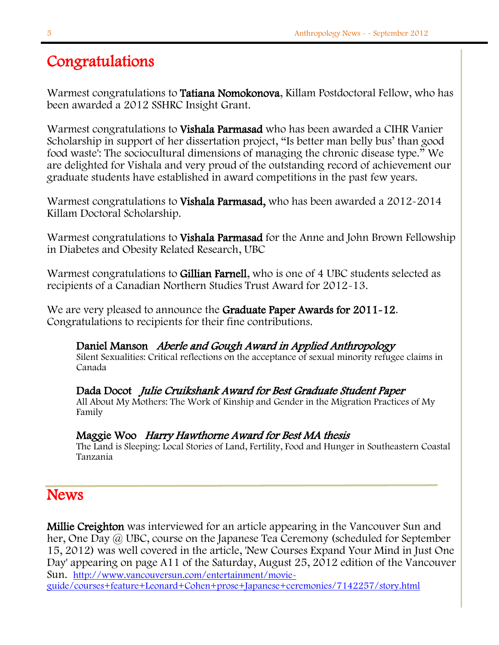# Congratulations

Warmest congratulations to Tatiana Nomokonova, Killam Postdoctoral Fellow, who has been awarded a 2012 SSHRC Insight Grant.

Warmest congratulations to Vishala Parmasad who has been awarded a CIHR Vanier Scholarship in support of her dissertation project, "Is better man belly bus' than good food waste': The sociocultural dimensions of managing the chronic disease type." We are delighted for Vishala and very proud of the outstanding record of achievement our graduate students have established in award competitions in the past few years.

Warmest congratulations to **Vishala Parmasad**, who has been awarded a 2012-2014 Killam Doctoral Scholarship.

Warmest congratulations to **Vishala Parmasad** for the Anne and John Brown Fellowship in Diabetes and Obesity Related Research, UBC

Warmest congratulations to Gillian Farnell, who is one of 4 UBC students selected as recipients of a Canadian Northern Studies Trust Award for 2012-13.

We are very pleased to announce the Graduate Paper Awards for 2011-12. Congratulations to recipients for their fine contributions.

# Daniel Manson Aberle and Gough Award in Applied Anthropology

Silent Sexualities: Critical reflections on the acceptance of sexual minority refugee claims in Canada

Dada Docot Julie Cruikshank Award for Best Graduate Student Paper All About My Mothers: The Work of Kinship and Gender in the Migration Practices of My Family

### Maggie Woo Harry Hawthorne Award for Best MA thesis

The Land is Sleeping: Local Stories of Land, Fertility, Food and Hunger in Southeastern Coastal Tanzania

## **News**

l

Millie Creighton was interviewed for an article appearing in the Vancouver Sun and her, One Day @ UBC, course on the Japanese Tea Ceremony (scheduled for September 15, 2012) was well covered in the article, 'New Courses Expand Your Mind in Just One Day' appearing on page A11 of the Saturday, August 25, 2012 edition of the Vancouver Sun. [http://www.vancouversun.com/entertainment/movie-](http://www.vancouversun.com/entertainment/movie-guide/courses+feature+Leonard+Cohen+prose+Japanese+ceremonies/7142257/story.html)

[guide/courses+feature+Leonard+Cohen+prose+Japanese+ceremonies/7142257/story.html](http://www.vancouversun.com/entertainment/movie-guide/courses+feature+Leonard+Cohen+prose+Japanese+ceremonies/7142257/story.html)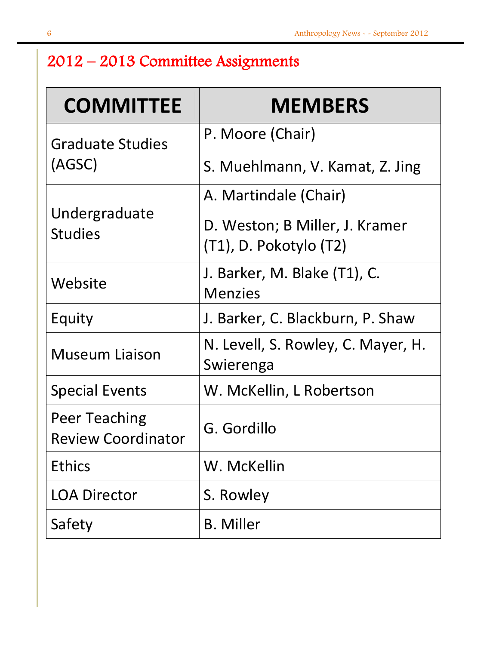# 2012 – 2013 Committee Assignments

| <b>COMMITTEE</b>                                  | <b>MEMBERS</b>                                           |
|---------------------------------------------------|----------------------------------------------------------|
| <b>Graduate Studies</b>                           | P. Moore (Chair)                                         |
| (AGSC)                                            | S. Muehlmann, V. Kamat, Z. Jing                          |
|                                                   | A. Martindale (Chair)                                    |
| Undergraduate<br><b>Studies</b>                   | D. Weston; B Miller, J. Kramer<br>(T1), D. Pokotylo (T2) |
| Website                                           | J. Barker, M. Blake (T1), C.<br><b>Menzies</b>           |
| Equity                                            | J. Barker, C. Blackburn, P. Shaw                         |
| <b>Museum Liaison</b>                             | N. Levell, S. Rowley, C. Mayer, H.<br>Swierenga          |
| <b>Special Events</b>                             | W. McKellin, L Robertson                                 |
| <b>Peer Teaching</b><br><b>Review Coordinator</b> | G. Gordillo                                              |
| <b>Ethics</b>                                     | W. McKellin                                              |
| <b>LOA Director</b>                               | S. Rowley                                                |
| Safety                                            | <b>B.</b> Miller                                         |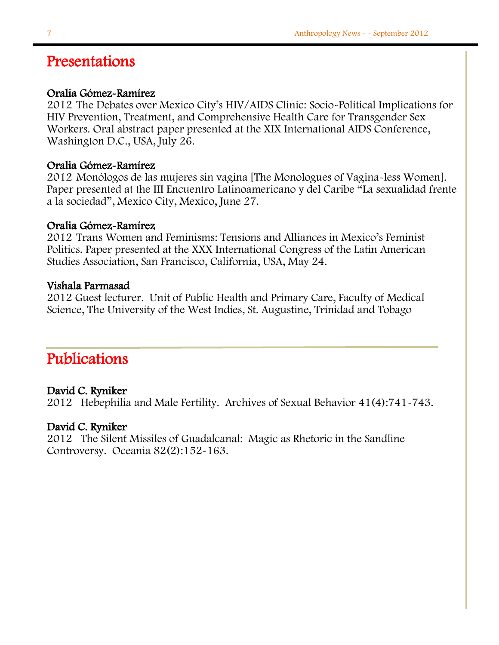## Presentations

### Oralia Gómez-Ramírez

2012 The Debates over Mexico City's HIV/AIDS Clinic: Socio-Political Implications for HIV Prevention, Treatment, and Comprehensive Health Care for Transgender Sex Workers. Oral abstract paper presented at the XIX International AIDS Conference, Washington D.C., USA, July 26.

### Oralia Gómez-Ramírez

2012 Monólogos de las mujeres sin vagina [The Monologues of Vagina-less Women]. Paper presented at the III Encuentro Latinoamericano y del Caribe "La sexualidad frente a la sociedad", Mexico City, Mexico, June 27.

### Oralia Gómez-Ramírez

2012 Trans Women and Feminisms: Tensions and Alliances in Mexico's Feminist Politics. Paper presented at the XXX International Congress of the Latin American Studies Association, San Francisco, California, USA, May 24.

### Vishala Parmasad

2012 Guest lecturer. Unit of Public Health and Primary Care, Faculty of Medical Science, The University of the West Indies, St. Augustine, Trinidad and Tobago

## Publications

### David C. Ryniker

2012 Hebephilia and Male Fertility. Archives of Sexual Behavior 41(4):741-743.

### David C. Ryniker

2012 The Silent Missiles of Guadalcanal: Magic as Rhetoric in the Sandline Controversy. Oceania 82(2):152-163.